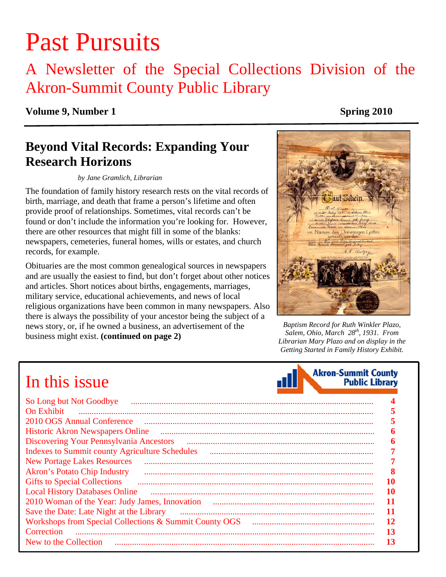# Past Pursuits

### A Newsletter of the Special Collections Division of the Akron-Summit County Public Library

#### **Volume 9, Number 1** Spring 2010

### **Beyond Vital Records: Expanding Your Research Horizons**

#### *by Jane Gramlich, Librarian*

The foundation of family history research rests on the vital records of birth, marriage, and death that frame a person's lifetime and often provide proof of relationships. Sometimes, vital records can't be found or don't include the information you're looking for. However, there are other resources that might fill in some of the blanks: newspapers, cemeteries, funeral homes, wills or estates, and church records, for example.

Obituaries are the most common genealogical sources in newspapers and are usually the easiest to find, but don't forget about other notices and articles. Short notices about births, engagements, marriages, military service, educational achievements, and news of local religious organizations have been common in many newspapers. Also there is always the possibility of your ancestor being the subject of a news story, or, if he owned a business, an advertisement of the business might exist. **(continued on page 2)**



*Baptism Record for Ruth Winkler Plazo, Salem, Ohio, March 28th, 1931. From Librarian Mary Plazo and on display in the Getting Started in Family History Exhibit.* 

**Akron-Summit County** 

**Public Library** 

## In this issue

| So Long but Not Goodbye                                                      |    |
|------------------------------------------------------------------------------|----|
| <b>On Exhibit</b>                                                            |    |
| 2010 OGS Annual Conference                                                   |    |
| <b>Historic Akron Newspapers Online</b>                                      |    |
| Discovering Your Pennsylvania Ancestors (2008) 2016 1917 1920 1921 1922 1933 |    |
| <b>Indexes to Summit county Agriculture Schedules</b>                        |    |
| <b>New Portage Lakes Resources</b>                                           |    |
| <b>Akron's Potato Chip Industry</b>                                          |    |
| <b>Gifts to Special Collections</b>                                          |    |
| <b>Local History Databases Online</b>                                        | 10 |
| 2010 Woman of the Year: Judy James, Innovation                               |    |
| Save the Date: Late Night at the Library                                     |    |
|                                                                              | 12 |
| Correction                                                                   | 13 |
| New to the Collection                                                        | 13 |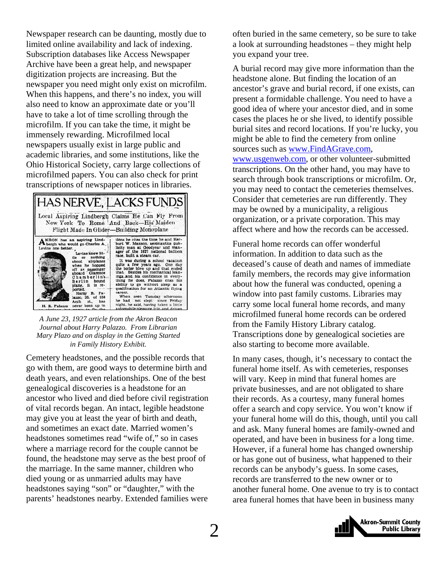Newspaper research can be daunting, mostly due to limited online availability and lack of indexing. Subscription databases like Access Newspaper Archive have been a great help, and newspaper digitization projects are increasing. But the newspaper you need might only exist on microfilm. When this happens, and there's no index, you will also need to know an approximate date or you'll have to take a lot of time scrolling through the microfilm. If you can take the time, it might be immensely rewarding. Microfilmed local newspapers usually exist in large public and academic libraries, and some institutions, like the Ohio Historical Society, carry large collections of microfilmed papers. You can also check for print transcriptions of newspaper notices in libraries.



*A June 23, 1927 article from the Akron Beacon Journal about Harry Palazzo. From Librarian Mary Plazo and on display in the Getting Started in Family History Exhibit.* 

Cemetery headstones, and the possible records that go with them, are good ways to determine birth and death years, and even relationships. One of the best genealogical discoveries is a headstone for an ancestor who lived and died before civil registration of vital records began. An intact, legible headstone may give you at least the year of birth and death, and sometimes an exact date. Married women's headstones sometimes read "wife of," so in cases where a marriage record for the couple cannot be found, the headstone may serve as the best proof of the marriage. In the same manner, children who died young or as unmarried adults may have headstones saying "son" or "daughter," with the parents' headstones nearby. Extended families were

often buried in the same cemetery, so be sure to take a look at surrounding headstones – they might help you expand your tree.

A burial record may give more information than the headstone alone. But finding the location of an ancestor's grave and burial record, if one exists, can present a formidable challenge. You need to have a good idea of where your ancestor died, and in some cases the places he or she lived, to identify possible burial sites and record locations. If you're lucky, you might be able to find the cemetery from online sources such as www.FindAGrave.com, www.usgenweb.com, or other volunteer-submitted transcriptions. On the other hand, you may have to search through book transcriptions or microfilm. Or, you may need to contact the cemeteries themselves. Consider that cemeteries are run differently. They may be owned by a municipality, a religious organization, or a private corporation. This may affect where and how the records can be accessed.

Funeral home records can offer wonderful information. In addition to data such as the deceased's cause of death and names of immediate family members, the records may give information about how the funeral was conducted, opening a window into past family customs. Libraries may carry some local funeral home records, and many microfilmed funeral home records can be ordered from the Family History Library catalog. Transcriptions done by genealogical societies are also starting to become more available.

In many cases, though, it's necessary to contact the funeral home itself. As with cemeteries, responses will vary. Keep in mind that funeral homes are private businesses, and are not obligated to share their records. As a courtesy, many funeral homes offer a search and copy service. You won't know if your funeral home will do this, though, until you call and ask. Many funeral homes are family-owned and operated, and have been in business for a long time. However, if a funeral home has changed ownership or has gone out of business, what happened to their records can be anybody's guess. In some cases, records are transferred to the new owner or to another funeral home. One avenue to try is to contact area funeral homes that have been in business many

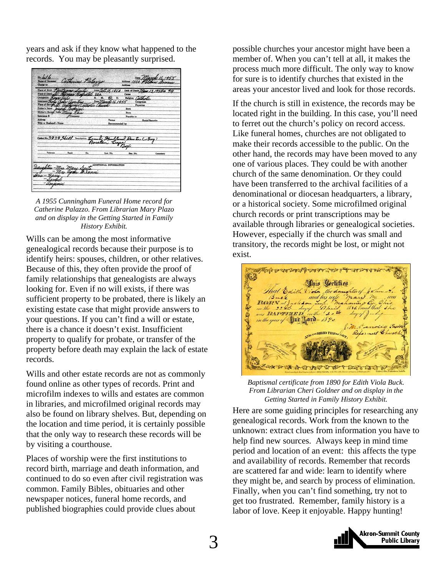years and ask if they know what happened to the records. You may be pleasantly surprised.



*A 1955 Cunningham Funeral Home record for Catherine Palazzo. From Librarian Mary Plazo and on display in the Getting Started in Family History Exhibit.* 

Wills can be among the most informative genealogical records because their purpose is to identify heirs: spouses, children, or other relatives. Because of this, they often provide the proof of family relationships that genealogists are always looking for. Even if no will exists, if there was sufficient property to be probated, there is likely an existing estate case that might provide answers to your questions. If you can't find a will or estate, there is a chance it doesn't exist. Insufficient property to qualify for probate, or transfer of the property before death may explain the lack of estate records.

Wills and other estate records are not as commonly found online as other types of records. Print and microfilm indexes to wills and estates are common in libraries, and microfilmed original records may also be found on library shelves. But, depending on the location and time period, it is certainly possible that the only way to research these records will be by visiting a courthouse.

Places of worship were the first institutions to record birth, marriage and death information, and continued to do so even after civil registration was common. Family Bibles, obituaries and other newspaper notices, funeral home records, and published biographies could provide clues about

possible churches your ancestor might have been a member of. When you can't tell at all, it makes the process much more difficult. The only way to know for sure is to identify churches that existed in the areas your ancestor lived and look for those records.

If the church is still in existence, the records may be located right in the building. In this case, you'll need to ferret out the church's policy on record access. Like funeral homes, churches are not obligated to make their records accessible to the public. On the other hand, the records may have been moved to any one of various places. They could be with another church of the same denomination. Or they could have been transferred to the archival facilities of a denominational or diocesan headquarters, a library, or a historical society. Some microfilmed original church records or print transcriptions may be available through libraries or genealogical societies. However, especially if the church was small and transitory, the records might be lost, or might not exist.



*Baptismal certificate from 1890 for Edith Viola Buck. From Librarian Cheri Goldner and on display in the Getting Started in Family History Exhibit.* 

Here are some guiding principles for researching any genealogical records. Work from the known to the unknown: extract clues from information you have to help find new sources. Always keep in mind time period and location of an event: this affects the type and availability of records. Remember that records are scattered far and wide: learn to identify where they might be, and search by process of elimination. Finally, when you can't find something, try not to get too frustrated. Remember, family history is a labor of love. Keep it enjoyable. Happy hunting!

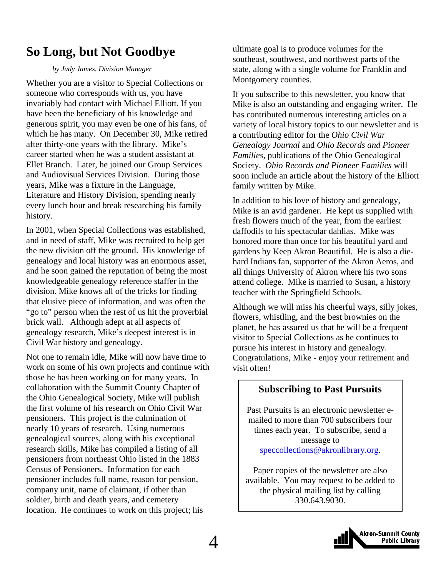### <span id="page-3-0"></span>**So Long, but Not Goodbye**

#### *by Judy James, Division Manager*

Whether you are a visitor to Special Collections or someone who corresponds with us, you have invariably had contact with Michael Elliott. If you have been the beneficiary of his knowledge and generous spirit, you may even be one of his fans, of which he has many. On December 30, Mike retired after thirty-one years with the library. Mike's career started when he was a student assistant at Ellet Branch. Later, he joined our Group Services and Audiovisual Services Division. During those years, Mike was a fixture in the Language, Literature and History Division, spending nearly every lunch hour and break researching his family history.

In 2001, when Special Collections was established, and in need of staff, Mike was recruited to help get the new division off the ground. His knowledge of genealogy and local history was an enormous asset, and he soon gained the reputation of being the most knowledgeable genealogy reference staffer in the division. Mike knows all of the tricks for finding that elusive piece of information, and was often the "go to" person when the rest of us hit the proverbial brick wall. Although adept at all aspects of genealogy research, Mike's deepest interest is in Civil War history and genealogy.

Not one to remain idle, Mike will now have time to work on some of his own projects and continue with those he has been working on for many years. In collaboration with the Summit County Chapter of the Ohio Genealogical Society, Mike will publish the first volume of his research on Ohio Civil War pensioners. This project is the culmination of nearly 10 years of research. Using numerous genealogical sources, along with his exceptional research skills, Mike has compiled a listing of all pensioners from northeast Ohio listed in the 1883 Census of Pensioners. Information for each pensioner includes full name, reason for pension, company unit, name of claimant, if other than soldier, birth and death years, and cemetery location. He continues to work on this project; his

ultimate goal is to produce volumes for the southeast, southwest, and northwest parts of the state, along with a single volume for Franklin and Montgomery counties.

If you subscribe to this newsletter, you know that Mike is also an outstanding and engaging writer. He has contributed numerous interesting articles on a variety of local history topics to our newsletter and is a contributing editor for the *Ohio Civil War Genealogy Journal* and *Ohio Records and Pioneer Families,* publications of the Ohio Genealogical Society. *Ohio Records and Pioneer Families* will soon include an article about the history of the Elliott family written by Mike.

In addition to his love of history and genealogy, Mike is an avid gardener. He kept us supplied with fresh flowers much of the year, from the earliest daffodils to his spectacular dahlias. Mike was honored more than once for his beautiful yard and gardens by Keep Akron Beautiful. He is also a diehard Indians fan, supporter of the Akron Aeros, and all things University of Akron where his two sons attend college. Mike is married to Susan, a history teacher with the Springfield Schools.

Although we will miss his cheerful ways, silly jokes, flowers, whistling, and the best brownies on the planet, he has assured us that he will be a frequent visitor to Special Collections as he continues to pursue his interest in history and genealogy. Congratulations, Mike - enjoy your retirement and visit often!

#### **Subscribing to Past Pursuits**

Past Pursuits is an electronic newsletter emailed to more than 700 subscribers four times each year. To subscribe, send a message to speccollections@akronlibrary.org.

Paper copies of the newsletter are also available. You may request to be added to the physical mailing list by calling 330.643.9030.

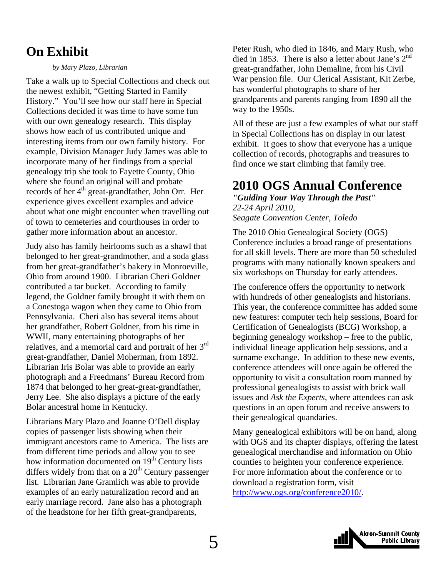### <span id="page-4-0"></span>**On Exhibit**

#### *by Mary Plazo, Librarian*

Take a walk up to Special Collections and check out the newest exhibit, "Getting Started in Family History." You'll see how our staff here in Special Collections decided it was time to have some fun with our own genealogy research. This display shows how each of us contributed unique and interesting items from our own family history. For example, Division Manager Judy James was able to incorporate many of her findings from a special genealogy trip she took to Fayette County, Ohio where she found an original will and probate records of her 4<sup>th</sup> great-grandfather, John Orr. Her experience gives excellent examples and advice about what one might encounter when travelling out of town to cemeteries and courthouses in order to gather more information about an ancestor.

Judy also has family heirlooms such as a shawl that belonged to her great-grandmother, and a soda glass from her great-grandfather's bakery in Monroeville, Ohio from around 1900. Librarian Cheri Goldner contributed a tar bucket. According to family legend, the Goldner family brought it with them on a Conestoga wagon when they came to Ohio from Pennsylvania. Cheri also has several items about her grandfather, Robert Goldner, from his time in WWII, many entertaining photographs of her relatives, and a memorial card and portrait of her 3rd great-grandfather, Daniel Moherman, from 1892. Librarian Iris Bolar was able to provide an early photograph and a Freedmans' Bureau Record from 1874 that belonged to her great-great-grandfather, Jerry Lee. She also displays a picture of the early Bolar ancestral home in Kentucky.

Librarians Mary Plazo and Joanne O'Dell display copies of passenger lists showing when their immigrant ancestors came to America. The lists are from different time periods and allow you to see how information documented on  $19<sup>th</sup>$  Century lists differs widely from that on a  $20<sup>th</sup>$  Century passenger list. Librarian Jane Gramlich was able to provide examples of an early naturalization record and an early marriage record. Jane also has a photograph of the headstone for her fifth great-grandparents,

Peter Rush, who died in 1846, and Mary Rush, who died in 1853. There is also a letter about Jane's  $2<sup>nd</sup>$ great-grandfather, John Demaline, from his Civil War pension file. Our Clerical Assistant, Kit Zerbe, has wonderful photographs to share of her grandparents and parents ranging from 1890 all the way to the 1950s.

All of these are just a few examples of what our staff in Special Collections has on display in our latest exhibit. It goes to show that everyone has a unique collection of records, photographs and treasures to find once we start climbing that family tree.

### **2010 OGS Annual Conference**

*"Guiding Your Way Through the Past" 22-24 April 2010, Seagate Convention Center, Toledo* 

The 2010 Ohio Genealogical Society (OGS) Conference includes a broad range of presentations for all skill levels. There are more than 50 scheduled programs with many nationally known speakers and six workshops on Thursday for early attendees.

The conference offers the opportunity to network with hundreds of other genealogists and historians. This year, the conference committee has added some new features: computer tech help sessions, Board for Certification of Genealogists (BCG) Workshop, a beginning genealogy workshop – free to the public, individual lineage application help sessions, and a surname exchange. In addition to these new events, conference attendees will once again be offered the opportunity to visit a consultation room manned by professional genealogists to assist with brick wall issues and *Ask the Experts*, where attendees can ask questions in an open forum and receive answers to their genealogical quandaries.

Many genealogical exhibitors will be on hand, along with OGS and its chapter displays, offering the latest genealogical merchandise and information on Ohio counties to heighten your conference experience. For more information about the conference or to download a registration form, visit http://www.ogs.org/conference2010/.

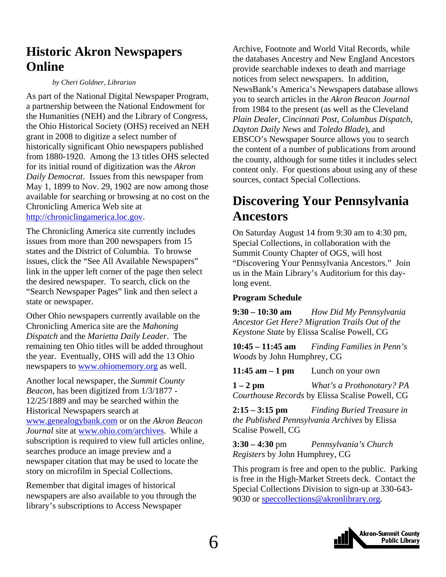### <span id="page-5-0"></span>**Historic Akron Newspapers Online**

#### *by Cheri Goldner, Librarian*

As part of the National Digital Newspaper Program, a partnership between the National Endowment for the Humanities (NEH) and the Library of Congress, the Ohio Historical Society (OHS) received an NEH grant in 2008 to digitize a select number of historically significant Ohio newspapers published from 1880-1920. Among the 13 titles OHS selected for its initial round of digitization was the *Akron Daily Democrat*. Issues from this newspaper from May 1, 1899 to Nov. 29, 1902 are now among those available for searching or browsing at no cost on the Chronicling America Web site at http://chroniclingamerica.loc.gov.

The Chronicling America site currently includes issues from more than 200 newspapers from 15 states and the District of Columbia. To browse issues, click the "See All Available Newspapers" link in the upper left corner of the page then select the desired newspaper. To search, click on the "Search Newspaper Pages" link and then select a state or newspaper.

Other Ohio newspapers currently available on the Chronicling America site are the *Mahoning Dispatch* and the *Marietta Daily Leader*. The remaining ten Ohio titles will be added throughout the year. Eventually, OHS will add the 13 Ohio newspapers to www.ohiomemory.org as well.

Another local newspaper, the *Summit County Beacon*, has been digitized from 1/3/1877 - 12/25/1889 and may be searched within the Historical Newspapers search at www.genealogybank.com or on the *Akron Beacon Journal* site at www.ohio.com/archives. While a subscription is required to view full articles online, searches produce an image preview and a newspaper citation that may be used to locate the story on microfilm in Special Collections.

Remember that digital images of historical newspapers are also available to you through the library's subscriptions to Access Newspaper

Archive, Footnote and World Vital Records, while the databases Ancestry and New England Ancestors provide searchable indexes to death and marriage notices from select newspapers. In addition, NewsBank's America's Newspapers database allows you to search articles in the *Akron Beacon Journal* from 1984 to the present (as well as the Cleveland *Plain Dealer*, *Cincinnati Post*, *Columbus Dispatch*, *Dayton Daily News* and *Toledo Blade*), and EBSCO's Newspaper Source allows you to search the content of a number of publications from around the county, although for some titles it includes select content only. For questions about using any of these sources, contact Special Collections.

### **Discovering Your Pennsylvania Ancestors**

On Saturday August 14 from 9:30 am to 4:30 pm, Special Collections, in collaboration with the Summit County Chapter of OGS, will host "Discovering Your Pennsylvania Ancestors." Join us in the Main Library's Auditorium for this daylong event.

#### **Program Schedule**

**9:30 – 10:30 am** *How Did My Pennsylvania Ancestor Get Here? Migration Trails Out of the Keystone State* by Elissa Scalise Powell, CG

**10:45 – 11:45 am** *Finding Families in Penn's Woods* by John Humphrey, CG

**11:45 am – 1 pm** Lunch on your own

**1 – 2 pm** *What's a Prothonotary? PA Courthouse Records* by Elissa Scalise Powell, CG

**2:15 – 3:15 pm** *Finding Buried Treasure in the Published Pennsylvania Archives* by Elissa Scalise Powell, CG

**3:30 – 4:30** pm *Pennsylvania's Church Registers* by John Humphrey, CG

This program is free and open to the public. Parking is free in the High-Market Streets deck. Contact the Special Collections Division to sign-up at 330-643- 9030 or speccollections@akronlibrary.org.

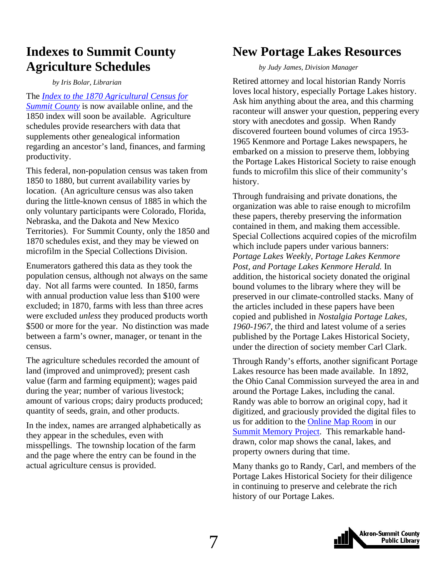### <span id="page-6-0"></span>**Indexes to Summit County Agriculture Schedules**

*by Iris Bolar, Librarian* 

The *[Index to the 1870 Agricultural Census for](http://www.akronlibrary.org/internetresources/sc/index_1870_agriculture_census.pdf) Summit County* is now available online, and the 1850 index will soon be available. Agriculture schedules provide researchers with data that supplements other genealogical information regarding an ancestor's land, finances, and farming productivity.

This federal, non-population census was taken from 1850 to 1880, but current availability varies by location. (An agriculture census was also taken during the little-known census of 1885 in which the only voluntary participants were Colorado, Florida, Nebraska, and the Dakota and New Mexico Territories). For Summit County, only the 1850 and 1870 schedules exist, and they may be viewed on microfilm in the Special Collections Division.

Enumerators gathered this data as they took the population census, although not always on the same day. Not all farms were counted. In 1850, farms with annual production value less than \$100 were excluded; in 1870, farms with less than three acres were excluded *unless* they produced products worth \$500 or more for the year. No distinction was made between a farm's owner, manager, or tenant in the census.

The agriculture schedules recorded the amount of land (improved and unimproved); present cash value (farm and farming equipment); wages paid during the year; number of various livestock; amount of various crops; dairy products produced; quantity of seeds, grain, and other products.

In the index, names are arranged alphabetically as they appear in the schedules, even with misspellings. The township location of the farm and the page where the entry can be found in the actual agriculture census is provided.

### **New Portage Lakes Resources**

*by Judy James, Division Manager* 

Retired attorney and local historian Randy Norris loves local history, especially Portage Lakes history. Ask him anything about the area, and this charming raconteur will answer your question, peppering every story with anecdotes and gossip. When Randy discovered fourteen bound volumes of circa 1953- 1965 Kenmore and Portage Lakes newspapers, he embarked on a mission to preserve them, lobbying the Portage Lakes Historical Society to raise enough funds to microfilm this slice of their community's history.

Through fundraising and private donations, the organization was able to raise enough to microfilm these papers, thereby preserving the information contained in them, and making them accessible. Special Collections acquired copies of the microfilm which include papers under various banners: *Portage Lakes Weekly, Portage Lakes Kenmore Post, and Portage Lakes Kenmore Herald.* In addition, the historical society donated the original bound volumes to the library where they will be preserved in our climate-controlled stacks. Many of the articles included in these papers have been copied and published in *Nostalgia Portage Lakes, 1960-1967,* the third and latest volume of a series published by the Portage Lakes Historical Society, under the direction of society member Carl Clark.

Through Randy's efforts, another significant Portage Lakes resource has been made available. In 1892, the Ohio Canal Commission surveyed the area in and around the Portage Lakes, including the canal. Randy was able to borrow an original copy, had it digitized, and graciously provided the digital files to us for addition to the [Online Map Room](http://www.summitmemory.org/cdm4/onlinemaproom.php) in our [Summit Memory Project.](http://www.summitmemory.org/) This remarkable handdrawn, color map shows the canal, lakes, and property owners during that time.

Many thanks go to Randy, Carl, and members of the Portage Lakes Historical Society for their diligence in continuing to preserve and celebrate the rich history of our Portage Lakes.

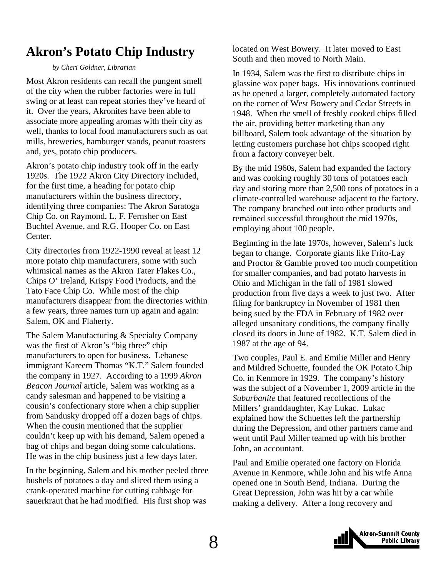### <span id="page-7-0"></span>**Akron's Potato Chip Industry**

#### *by Cheri Goldner, Librarian*

Most Akron residents can recall the pungent smell of the city when the rubber factories were in full swing or at least can repeat stories they've heard of it. Over the years, Akronites have been able to associate more appealing aromas with their city as well, thanks to local food manufacturers such as oat mills, breweries, hamburger stands, peanut roasters and, yes, potato chip producers.

Akron's potato chip industry took off in the early 1920s. The 1922 Akron City Directory included, for the first time, a heading for potato chip manufacturers within the business directory, identifying three companies: The Akron Saratoga Chip Co. on Raymond, L. F. Fernsher on East Buchtel Avenue, and R.G. Hooper Co. on East Center.

City directories from 1922-1990 reveal at least 12 more potato chip manufacturers, some with such whimsical names as the Akron Tater Flakes Co., Chips O' Ireland, Krispy Food Products, and the Tato Face Chip Co. While most of the chip manufacturers disappear from the directories within a few years, three names turn up again and again: Salem, OK and Flaherty.

The Salem Manufacturing & Specialty Company was the first of Akron's "big three" chip manufacturers to open for business. Lebanese immigrant Kareem Thomas "K.T." Salem founded the company in 1927. According to a 1999 *Akron Beacon Journal* article, Salem was working as a candy salesman and happened to be visiting a cousin's confectionary store when a chip supplier from Sandusky dropped off a dozen bags of chips. When the cousin mentioned that the supplier couldn't keep up with his demand, Salem opened a bag of chips and began doing some calculations. He was in the chip business just a few days later.

In the beginning, Salem and his mother peeled three bushels of potatoes a day and sliced them using a crank-operated machine for cutting cabbage for sauerkraut that he had modified. His first shop was

located on West Bowery. It later moved to East South and then moved to North Main.

In 1934, Salem was the first to distribute chips in glassine wax paper bags. His innovations continued as he opened a larger, completely automated factory on the corner of West Bowery and Cedar Streets in 1948. When the smell of freshly cooked chips filled the air, providing better marketing than any billboard, Salem took advantage of the situation by letting customers purchase hot chips scooped right from a factory conveyer belt.

By the mid 1960s, Salem had expanded the factory and was cooking roughly 30 tons of potatoes each day and storing more than 2,500 tons of potatoes in a climate-controlled warehouse adjacent to the factory. The company branched out into other products and remained successful throughout the mid 1970s, employing about 100 people.

Beginning in the late 1970s, however, Salem's luck began to change. Corporate giants like Frito-Lay and Proctor & Gamble proved too much competition for smaller companies, and bad potato harvests in Ohio and Michigan in the fall of 1981 slowed production from five days a week to just two. After filing for bankruptcy in November of 1981 then being sued by the FDA in February of 1982 over alleged unsanitary conditions, the company finally closed its doors in June of 1982. K.T. Salem died in 1987 at the age of 94.

Two couples, Paul E. and Emilie Miller and Henry and Mildred Schuette, founded the OK Potato Chip Co. in Kenmore in 1929. The company's history was the subject of a November 1, 2009 article in the *Suburbanite* that featured recollections of the Millers' granddaughter, Kay Lukac*.* Lukac explained how the Schuettes left the partnership during the Depression, and other partners came and went until Paul Miller teamed up with his brother John, an accountant.

Paul and Emilie operated one factory on Florida Avenue in Kenmore, while John and his wife Anna opened one in South Bend, Indiana. During the Great Depression, John was hit by a car while making a delivery. After a long recovery and

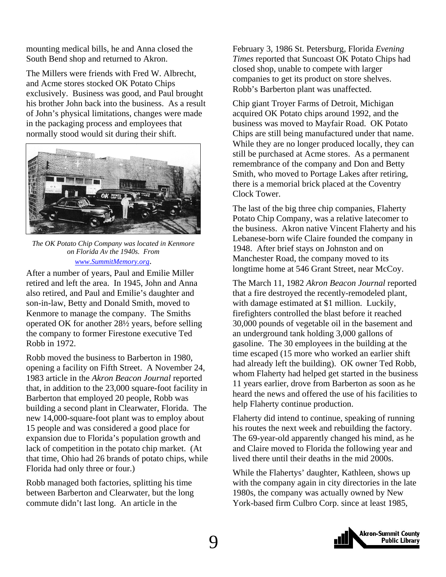mounting medical bills, he and Anna closed the South Bend shop and returned to Akron.

The Millers were friends with Fred W. Albrecht, and Acme stores stocked OK Potato Chips exclusively. Business was good, and Paul brought his brother John back into the business. As a result of John's physical limitations, changes were made in the packaging process and employees that normally stood would sit during their shift.



*The OK Potato Chip Company was located in Kenmore on Florida Av the 1940s. From www.SummitMemory.org*.

After a number of years, Paul and Emilie Miller retired and left the area. In 1945, John and Anna also retired, and Paul and Emilie's daughter and son-in-law, Betty and Donald Smith, moved to Kenmore to manage the company. The Smiths operated OK for another 28½ years, before selling the company to former Firestone executive Ted Robb in 1972.

Robb moved the business to Barberton in 1980, opening a facility on Fifth Street. A November 24, 1983 article in the *Akron Beacon Journal* reported that, in addition to the 23,000 square-foot facility in Barberton that employed 20 people, Robb was building a second plant in Clearwater, Florida. The new 14,000-square-foot plant was to employ about 15 people and was considered a good place for expansion due to Florida's population growth and lack of competition in the potato chip market. (At that time, Ohio had 26 brands of potato chips, while Florida had only three or four.)

Robb managed both factories, splitting his time between Barberton and Clearwater, but the long commute didn't last long. An article in the

February 3, 1986 St. Petersburg, Florida *Evening Times* reported that Suncoast OK Potato Chips had closed shop, unable to compete with larger companies to get its product on store shelves. Robb's Barberton plant was unaffected.

Chip giant Troyer Farms of Detroit, Michigan acquired OK Potato chips around 1992, and the business was moved to Mayfair Road. OK Potato Chips are still being manufactured under that name. While they are no longer produced locally, they can still be purchased at Acme stores. As a permanent remembrance of the company and Don and Betty Smith, who moved to Portage Lakes after retiring, there is a memorial brick placed at the Coventry Clock Tower.

The last of the big three chip companies, Flaherty Potato Chip Company, was a relative latecomer to the business. Akron native Vincent Flaherty and his Lebanese-born wife Claire founded the company in 1948. After brief stays on Johnston and on Manchester Road, the company moved to its longtime home at 546 Grant Street, near McCoy.

The March 11, 1982 *Akron Beacon Journal* reported that a fire destroyed the recently-remodeled plant, with damage estimated at \$1 million. Luckily, firefighters controlled the blast before it reached 30,000 pounds of vegetable oil in the basement and an underground tank holding 3,000 gallons of gasoline. The 30 employees in the building at the time escaped (15 more who worked an earlier shift had already left the building). OK owner Ted Robb, whom Flaherty had helped get started in the business 11 years earlier, drove from Barberton as soon as he heard the news and offered the use of his facilities to help Flaherty continue production.

Flaherty did intend to continue, speaking of running his routes the next week and rebuilding the factory. The 69-year-old apparently changed his mind, as he and Claire moved to Florida the following year and lived there until their deaths in the mid 2000s.

While the Flahertys' daughter, Kathleen, shows up with the company again in city directories in the late 1980s, the company was actually owned by New York-based firm Culbro Corp. since at least 1985,

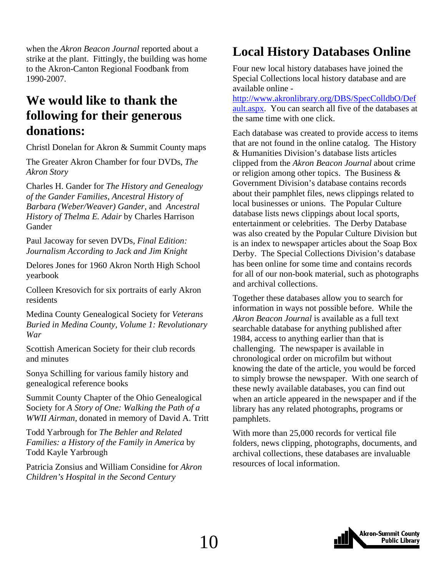<span id="page-9-0"></span>when the *Akron Beacon Journal* reported about a strike at the plant. Fittingly, the building was home to the Akron-Canton Regional Foodbank from 1990-2007.

### **We would like to thank the following for their generous donations:**

Christl Donelan for Akron & Summit County maps

The Greater Akron Chamber for four DVDs, *The Akron Story*

Charles H. Gander for *The History and Genealogy of the Gander Families, Ancestral History of Barbara (Weber/Weaver) Gander,* and *Ancestral History of Thelma E. Adair* by Charles Harrison Gander

Paul Jacoway for seven DVDs, *Final Edition: Journalism According to Jack and Jim Knight*

Delores Jones for 1960 Akron North High School yearbook

Colleen Kresovich for six portraits of early Akron residents

Medina County Genealogical Society for *Veterans Buried in Medina County, Volume 1: Revolutionary War*

Scottish American Society for their club records and minutes

Sonya Schilling for various family history and genealogical reference books

Summit County Chapter of the Ohio Genealogical Society for *A Story of One: Walking the Path of a WWII Airman,* donated in memory of David A. Tritt

Todd Yarbrough for *The Behler and Related Families: a History of the Family in America* by Todd Kayle Yarbrough

Patricia Zonsius and William Considine for *Akron Children's Hospital in the Second Century*

### **Local History Databases Online**

Four new local history databases have joined the Special Collections local history database and are available online -

[http://www.akronlibrary.org/DBS/SpecColldbO/Def](http://www.akronlibrary.org/DBS/SpecColldbO/Default.aspx) ault.aspx. You can search all five of the databases at the same time with one click.

Each database was created to provide access to items that are not found in the online catalog. The History & Humanities Division's database lists articles clipped from the *Akron Beacon Journal* about crime or religion among other topics. The Business & Government Division's database contains records about their pamphlet files, news clippings related to local businesses or unions. The Popular Culture database lists news clippings about local sports, entertainment or celebrities. The Derby Database was also created by the Popular Culture Division but is an index to newspaper articles about the Soap Box Derby. The Special Collections Division's database has been online for some time and contains records for all of our non-book material, such as photographs and archival collections.

Together these databases allow you to search for information in ways not possible before. While the *Akron Beacon Journal* is available as a full text searchable database for anything published after 1984, access to anything earlier than that is challenging. The newspaper is available in chronological order on microfilm but without knowing the date of the article, you would be forced to simply browse the newspaper. With one search of these newly available databases, you can find out when an article appeared in the newspaper and if the library has any related photographs, programs or pamphlets.

With more than 25,000 records for vertical file folders, news clipping, photographs, documents, and archival collections, these databases are invaluable resources of local information.

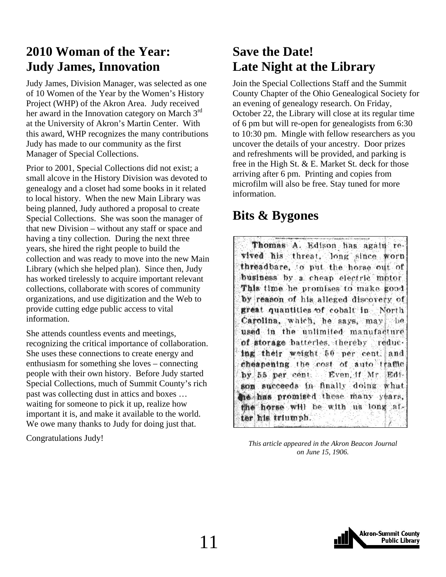### <span id="page-10-0"></span>**2010 Woman of the Year: Judy James, Innovation**

Judy James, Division Manager, was selected as one of 10 Women of the Year by the Women's History Project (WHP) of the Akron Area. Judy received her award in the Innovation category on March 3<sup>rd</sup> at the University of Akron's Martin Center. With this award, WHP recognizes the many contributions Judy has made to our community as the first Manager of Special Collections.

Prior to 2001, Special Collections did not exist; a small alcove in the History Division was devoted to genealogy and a closet had some books in it related to local history. When the new Main Library was being planned, Judy authored a proposal to create Special Collections. She was soon the manager of that new Division – without any staff or space and having a tiny collection. During the next three years, she hired the right people to build the collection and was ready to move into the new Main Library (which she helped plan). Since then, Judy has worked tirelessly to acquire important relevant collections, collaborate with scores of community organizations, and use digitization and the Web to provide cutting edge public access to vital information.

She attends countless events and meetings, recognizing the critical importance of collaboration. She uses these connections to create energy and enthusiasm for something she loves – connecting people with their own history. Before Judy started Special Collections, much of Summit County's rich past was collecting dust in attics and boxes … waiting for someone to pick it up, realize how important it is, and make it available to the world. We owe many thanks to Judy for doing just that.

Congratulations Judy!

### **Save the Date! Late Night at the Library**

Join the Special Collections Staff and the Summit County Chapter of the Ohio Genealogical Society for an evening of genealogy research. On Friday, October 22, the Library will close at its regular time of 6 pm but will re-open for genealogists from 6:30 to 10:30 pm. Mingle with fellow researchers as you uncover the details of your ancestry. Door prizes and refreshments will be provided, and parking is free in the High St. & E. Market St. deck for those arriving after 6 pm. Printing and copies from microfilm will also be free. Stay tuned for more information.

### **Bits & Bygones**

Thomas A. Edison has again revived his threat, long since worn threadbare, to put the horse out of business by a cheap electric motor This time he promises to make good by reason of his alleged discovery of great quantities of cobalt in North Carolina, which, he says, may be used in the unlimited manufacture of storage batteries, thereby reducing their weight 50 per cent and cheapening the cost of auto traffic by 55 per cent. Even if Mr. Edison succeeds in finally doing what the has promised these many years, the horse will be with us long after his triumph.

*This article appeared in the Akron Beacon Journal on June 15, 1906.* 

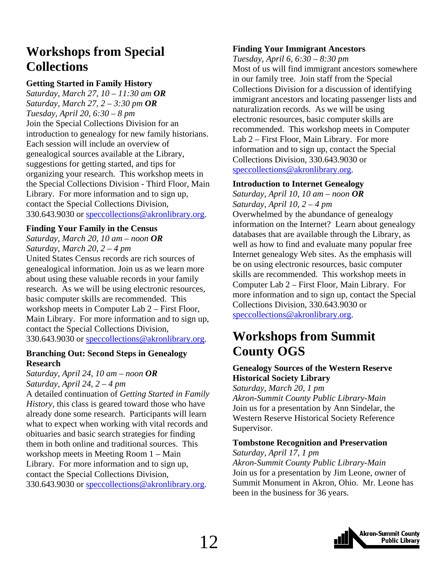### <span id="page-11-0"></span>**Workshops from Special Collections**

#### **Getting Started in Family History**

*Saturday, March 27, 10 – 11:30 am OR Saturday, March 27, 2 – 3:30 pm OR Tuesday, April 20, 6:30 – 8 pm*  Join the Special Collections Division for an introduction to genealogy for new family historians. Each session will include an overview of genealogical sources available at the Library, suggestions for getting started, and tips for organizing your research. This workshop meets in the Special Collections Division - Third Floor, Main Library. For more information and to sign up, contact the Special Collections Division, 330.643.9030 or speccollections@akronlibrary.org.

#### **Finding Your Family in the Census**

*Saturday, March 20, 10 am – noon OR Saturday, March 20, 2 – 4 pm*  United States Census records are rich sources of

genealogical information. Join us as we learn more about using these valuable records in your family research. As we will be using electronic resources, basic computer skills are recommended. This workshop meets in Computer Lab 2 – First Floor, Main Library. For more information and to sign up, contact the Special Collections Division, 330.643.9030 or speccollections@akronlibrary.org.

#### **Branching Out: Second Steps in Genealogy Research**

*Saturday, April 24, 10 am – noon OR Saturday, April 24, 2 – 4 pm* 

A detailed continuation of *Getting Started in Family History,* this class is geared toward those who have already done some research. Participants will learn what to expect when working with vital records and obituaries and basic search strategies for finding them in both online and traditional sources. This workshop meets in Meeting Room 1 – Main Library. For more information and to sign up, contact the Special Collections Division, 330.643.9030 or speccollections@akronlibrary.org.

#### **Finding Your Immigrant Ancestors**

*Tuesday, April 6, 6:30 – 8:30 pm*  Most of us will find immigrant ancestors somewhere in our family tree. Join staff from the Special Collections Division for a discussion of identifying immigrant ancestors and locating passenger lists and naturalization records. As we will be using electronic resources, basic computer skills are recommended. This workshop meets in Computer Lab 2 – First Floor, Main Library. For more information and to sign up, contact the Special Collections Division, 330.643.9030 or speccollections@akronlibrary.org.

#### **Introduction to Internet Genealogy**

*Saturday, April 10, 10 am – noon OR Saturday, April 10, 2 – 4 pm*  Overwhelmed by the abundance of genealogy information on the Internet? Learn about genealogy databases that are available through the Library, as well as how to find and evaluate many popular free Internet genealogy Web sites. As the emphasis will be on using electronic resources, basic computer skills are recommended. This workshop meets in Computer Lab 2 – First Floor, Main Library. For more information and to sign up, contact the Special Collections Division, 330.643.9030 or speccollections@akronlibrary.org.

### **Workshops from Summit County OGS**

#### **Genealogy Sources of the Western Reserve Historical Society Library**

*Saturday, March 20, 1 pm Akron-Summit County Public Library-Main*  Join us for a presentation by Ann Sindelar, the Western Reserve Historical Society Reference Supervisor.

#### **Tombstone Recognition and Preservation**

*Saturday, April 17, 1 pm Akron-Summit County Public Library-Main*  Join us for a presentation by Jim Leone, owner of Summit Monument in Akron, Ohio. Mr. Leone has been in the business for 36 years.

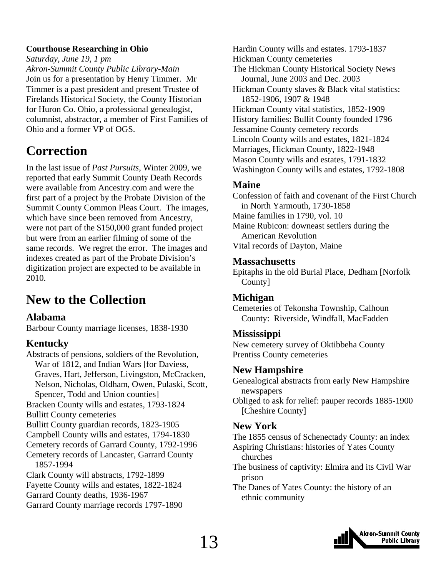#### <span id="page-12-0"></span>**Courthouse Researching in Ohio**

*Saturday, June 19, 1 pm* 

*Akron-Summit County Public Library-Main*  Join us for a presentation by Henry Timmer. Mr Timmer is a past president and present Trustee of Firelands Historical Society, the County Historian for Huron Co. Ohio, a professional genealogist, columnist, abstractor, a member of First Families of Ohio and a former VP of OGS.

### **Correction**

In the last issue of *Past Pursuits*, Winter 2009, we reported that early Summit County Death Records were available from Ancestry.com and were the first part of a project by the Probate Division of the Summit County Common Pleas Court. The images, which have since been removed from Ancestry, were not part of the \$150,000 grant funded project but were from an earlier filming of some of the same records. We regret the error. The images and indexes created as part of the Probate Division's digitization project are expected to be available in 2010.

### **New to the Collection**

#### **Alabama**

Barbour County marriage licenses, 1838-1930

#### **Kentucky**

Abstracts of pensions, soldiers of the Revolution, War of 1812, and Indian Wars [for Daviess, Graves, Hart, Jefferson, Livingston, McCracken, Nelson, Nicholas, Oldham, Owen, Pulaski, Scott, Spencer, Todd and Union counties] Bracken County wills and estates, 1793-1824 Bullitt County cemeteries Bullitt County guardian records, 1823-1905 Campbell County wills and estates, 1794-1830 Cemetery records of Garrard County, 1792-1996 Cemetery records of Lancaster, Garrard County 1857-1994 Clark County will abstracts, 1792-1899 Fayette County wills and estates, 1822-1824 Garrard County deaths, 1936-1967 Garrard County marriage records 1797-1890

Hardin County wills and estates. 1793-1837 Hickman County cemeteries The Hickman County Historical Society News Journal, June 2003 and Dec. 2003 Hickman County slaves & Black vital statistics: 1852-1906, 1907 & 1948 Hickman County vital statistics, 1852-1909 History families: Bullit County founded 1796 Jessamine County cemetery records Lincoln County wills and estates, 1821-1824 Marriages, Hickman County, 1822-1948 Mason County wills and estates, 1791-1832 Washington County wills and estates, 1792-1808

#### **Maine**

Confession of faith and covenant of the First Church in North Yarmouth, 1730-1858 Maine families in 1790, vol. 10 Maine Rubicon: downeast settlers during the American Revolution Vital records of Dayton, Maine

#### **Massachusetts**

Epitaphs in the old Burial Place, Dedham [Norfolk County]

#### **Michigan**

Cemeteries of Tekonsha Township, Calhoun County: Riverside, Windfall, MacFadden

#### **Mississippi**

New cemetery survey of Oktibbeha County Prentiss County cemeteries

#### **New Hampshire**

Genealogical abstracts from early New Hampshire newspapers

Obliged to ask for relief: pauper records 1885-1900 [Cheshire County]

#### **New York**

The 1855 census of Schenectady County: an index Aspiring Christians: histories of Yates County churches

- The business of captivity: Elmira and its Civil War prison
- The Danes of Yates County: the history of an ethnic community

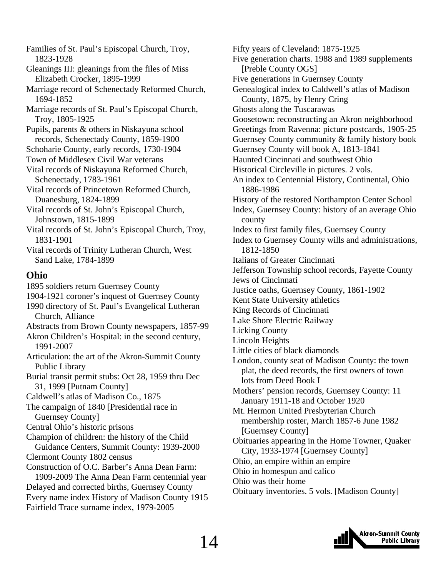Families of St. Paul's Episcopal Church, Troy, 1823-1928

Gleanings III: gleanings from the files of Miss Elizabeth Crocker, 1895-1999

Marriage record of Schenectady Reformed Church, 1694-1852

Marriage records of St. Paul's Episcopal Church, Troy, 1805-1925

Pupils, parents & others in Niskayuna school records, Schenectady County, 1859-1900

Schoharie County, early records, 1730-1904

Town of Middlesex Civil War veterans

Vital records of Niskayuna Reformed Church, Schenectady, 1783-1961

Vital records of Princetown Reformed Church, Duanesburg, 1824-1899

Vital records of St. John's Episcopal Church, Johnstown, 1815-1899

Vital records of St. John's Episcopal Church, Troy, 1831-1901

Vital records of Trinity Lutheran Church, West Sand Lake, 1784-1899

#### **Ohio**

1895 soldiers return Guernsey County 1904-1921 coroner's inquest of Guernsey County 1990 directory of St. Paul's Evangelical Lutheran Church, Alliance Abstracts from Brown County newspapers, 1857-99 Akron Children's Hospital: in the second century, 1991-2007 Articulation: the art of the Akron-Summit County Public Library Burial transit permit stubs: Oct 28, 1959 thru Dec 31, 1999 [Putnam County] Caldwell's atlas of Madison Co., 1875 The campaign of 1840 [Presidential race in Guernsey County] Central Ohio's historic prisons Champion of children: the history of the Child Guidance Centers, Summit County: 1939-2000 Clermont County 1802 census Construction of O.C. Barber's Anna Dean Farm: 1909-2009 The Anna Dean Farm centennial year Delayed and corrected births, Guernsey County

Every name index History of Madison County 1915 Fairfield Trace surname index, 1979-2005

Fifty years of Cleveland: 1875-1925 Five generation charts. 1988 and 1989 supplements [Preble County OGS] Five generations in Guernsey County Genealogical index to Caldwell's atlas of Madison County, 1875, by Henry Cring Ghosts along the Tuscarawas Goosetown: reconstructing an Akron neighborhood Greetings from Ravenna: picture postcards, 1905-25 Guernsey County community & family history book Guernsey County will book A, 1813-1841 Haunted Cincinnati and southwest Ohio Historical Circleville in pictures. 2 vols. An index to Centennial History, Continental, Ohio 1886-1986 History of the restored Northampton Center School Index, Guernsey County: history of an average Ohio county Index to first family files, Guernsey County Index to Guernsey County wills and administrations, 1812-1850 Italians of Greater Cincinnati Jefferson Township school records, Fayette County Jews of Cincinnati Justice oaths, Guernsey County, 1861-1902 Kent State University athletics King Records of Cincinnati Lake Shore Electric Railway Licking County Lincoln Heights Little cities of black diamonds London, county seat of Madison County: the town plat, the deed records, the first owners of town lots from Deed Book I Mothers' pension records, Guernsey County: 11 January 1911-18 and October 1920 Mt. Hermon United Presbyterian Church membership roster, March 1857-6 June 1982 [Guernsey County] Obituaries appearing in the Home Towner, Quaker City, 1933-1974 [Guernsey County] Ohio, an empire within an empire Ohio in homespun and calico Ohio was their home Obituary inventories. 5 vols. [Madison County]

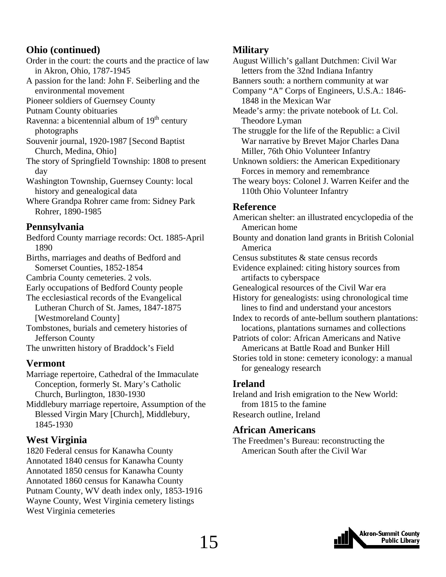#### **Ohio (continued)**

- Order in the court: the courts and the practice of law in Akron, Ohio, 1787-1945
- A passion for the land: John F. Seiberling and the environmental movement

Pioneer soldiers of Guernsey County

- Putnam County obituaries
- Ravenna: a bicentennial album of  $19<sup>th</sup>$  century photographs
- Souvenir journal, 1920-1987 [Second Baptist Church, Medina, Ohio]
- The story of Springfield Township: 1808 to present day
- Washington Township, Guernsey County: local history and genealogical data
- Where Grandpa Rohrer came from: Sidney Park Rohrer, 1890-1985

#### **Pennsylvania**

- Bedford County marriage records: Oct. 1885-April 1890
- Births, marriages and deaths of Bedford and Somerset Counties, 1852-1854
- Cambria County cemeteries. 2 vols.
- Early occupations of Bedford County people
- The ecclesiastical records of the Evangelical Lutheran Church of St. James, 1847-1875 [Westmoreland County]
- Tombstones, burials and cemetery histories of Jefferson County
- The unwritten history of Braddock's Field

#### **Vermont**

- Marriage repertoire, Cathedral of the Immaculate Conception, formerly St. Mary's Catholic Church, Burlington, 1830-1930
- Middlebury marriage repertoire, Assumption of the Blessed Virgin Mary [Church], Middlebury, 1845-1930

#### **West Virginia**

1820 Federal census for Kanawha County Annotated 1840 census for Kanawha County Annotated 1850 census for Kanawha County Annotated 1860 census for Kanawha County Putnam County, WV death index only, 1853-1916 Wayne County, West Virginia cemetery listings West Virginia cemeteries

#### **Military**

August Willich's gallant Dutchmen: Civil War letters from the 32nd Indiana Infantry

- Banners south: a northern community at war
- Company "A" Corps of Engineers, U.S.A.: 1846- 1848 in the Mexican War
- Meade's army: the private notebook of Lt. Col. Theodore Lyman

The struggle for the life of the Republic: a Civil War narrative by Brevet Major Charles Dana Miller, 76th Ohio Volunteer Infantry

Unknown soldiers: the American Expeditionary Forces in memory and remembrance

The weary boys: Colonel J. Warren Keifer and the 110th Ohio Volunteer Infantry

#### **Reference**

American shelter: an illustrated encyclopedia of the American home

- Bounty and donation land grants in British Colonial America
- Census substitutes & state census records
- Evidence explained: citing history sources from artifacts to cyberspace
- Genealogical resources of the Civil War era
- History for genealogists: using chronological time lines to find and understand your ancestors
- Index to records of ante-bellum southern plantations: locations, plantations surnames and collections
- Patriots of color: African Americans and Native Americans at Battle Road and Bunker Hill
- Stories told in stone: cemetery iconology: a manual for genealogy research

### **Ireland**

Ireland and Irish emigration to the New World: from 1815 to the famine Research outline, Ireland

#### **African Americans**

The Freedmen's Bureau: reconstructing the American South after the Civil War